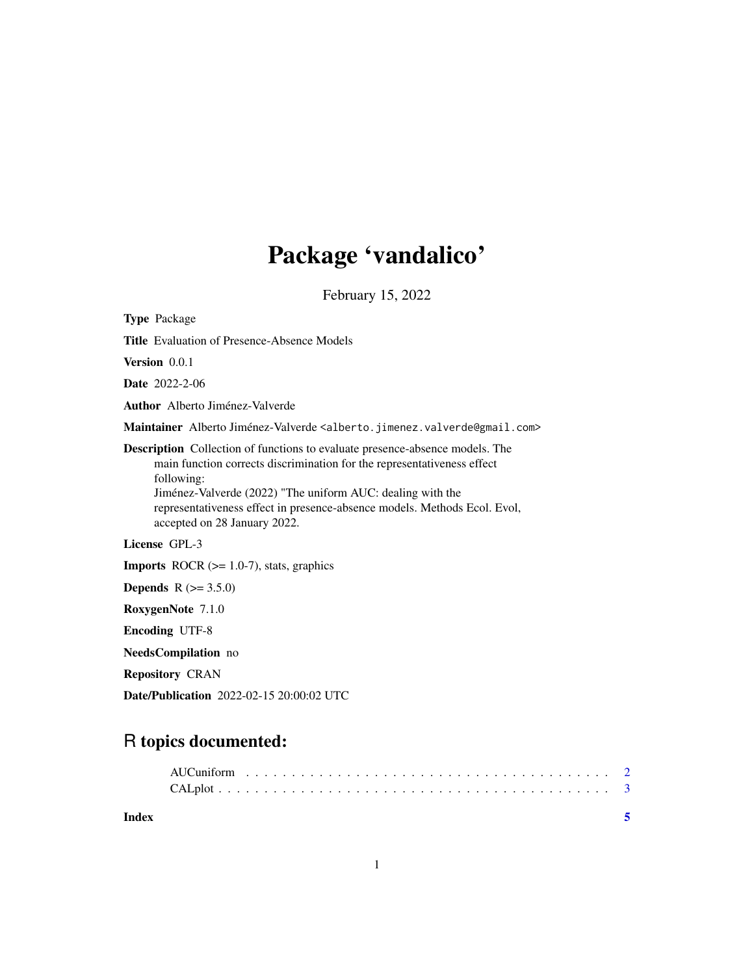## Package 'vandalico'

February 15, 2022

Type Package Title Evaluation of Presence-Absence Models Version 0.0.1 Date 2022-2-06 Author Alberto Jiménez-Valverde Maintainer Alberto Jiménez-Valverde <alberto.jimenez.valverde@gmail.com> Description Collection of functions to evaluate presence-absence models. The main function corrects discrimination for the representativeness effect following: Jiménez-Valverde (2022) "The uniform AUC: dealing with the representativeness effect in presence-absence models. Methods Ecol. Evol, accepted on 28 January 2022. License GPL-3 **Imports** ROCR  $(>= 1.0-7)$ , stats, graphics **Depends** R  $(>= 3.5.0)$ RoxygenNote 7.1.0 Encoding UTF-8 NeedsCompilation no

Repository CRAN

Date/Publication 2022-02-15 20:00:02 UTC

### R topics documented:

| Index |  |  |  |  |  |  |  |  |  |  |  |  |  |  |  |  |  |  |
|-------|--|--|--|--|--|--|--|--|--|--|--|--|--|--|--|--|--|--|
|       |  |  |  |  |  |  |  |  |  |  |  |  |  |  |  |  |  |  |
|       |  |  |  |  |  |  |  |  |  |  |  |  |  |  |  |  |  |  |

1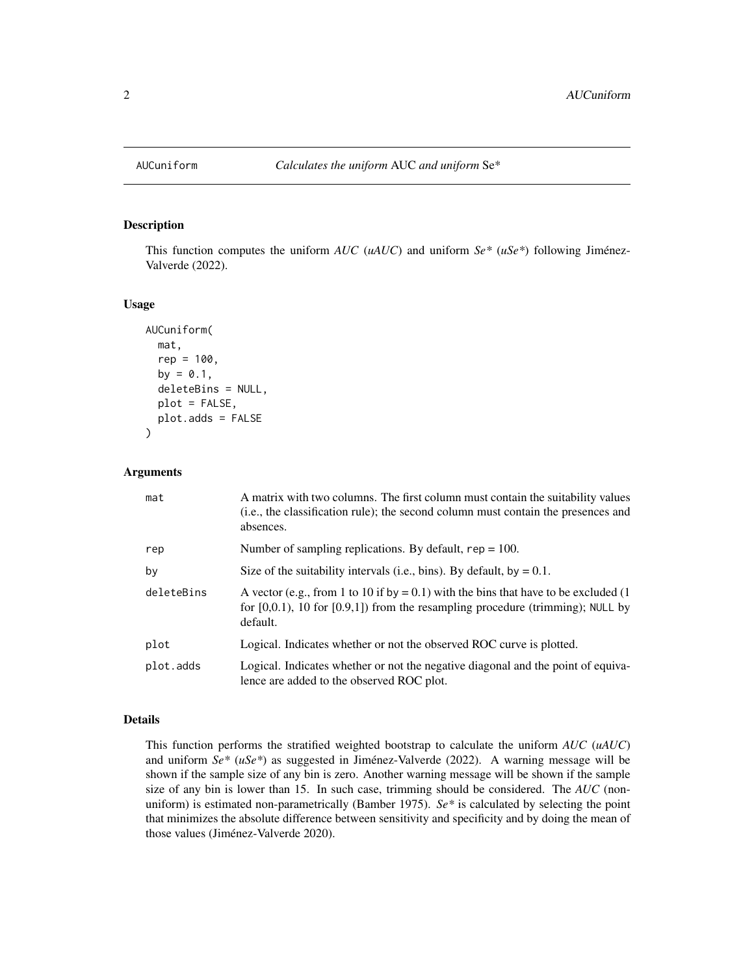<span id="page-1-1"></span><span id="page-1-0"></span>

#### Description

This function computes the uniform *AUC* (*uAUC*) and uniform *Se\** (*uSe\**) following Jiménez-Valverde (2022).

#### Usage

```
AUCuniform(
  mat,
  rep = 100,by = 0.1,
  deleteBins = NULL,
  plot = FALSE,
  plot.adds = FALSE
\mathcal{L}
```
#### Arguments

| mat        | A matrix with two columns. The first column must contain the suitability values<br>(i.e., the classification rule); the second column must contain the presences and<br>absences.     |
|------------|---------------------------------------------------------------------------------------------------------------------------------------------------------------------------------------|
| rep        | Number of sampling replications. By default, $rep = 100$ .                                                                                                                            |
| by         | Size of the suitability intervals (i.e., bins). By default, by $= 0.1$ .                                                                                                              |
| deleteBins | A vector (e.g., from 1 to 10 if by = 0.1) with the bins that have to be excluded (1<br>for $[0,0.1)$ , 10 for $[0.9,1]$ from the resampling procedure (trimming); NULL by<br>default. |
| plot       | Logical. Indicates whether or not the observed ROC curve is plotted.                                                                                                                  |
| plot.adds  | Logical. Indicates whether or not the negative diagonal and the point of equiva-<br>lence are added to the observed ROC plot.                                                         |

#### Details

This function performs the stratified weighted bootstrap to calculate the uniform *AUC* (*uAUC*) and uniform *Se\** (*uSe\**) as suggested in Jiménez-Valverde (2022). A warning message will be shown if the sample size of any bin is zero. Another warning message will be shown if the sample size of any bin is lower than 15. In such case, trimming should be considered. The *AUC* (nonuniform) is estimated non-parametrically (Bamber 1975). *Se\** is calculated by selecting the point that minimizes the absolute difference between sensitivity and specificity and by doing the mean of those values (Jiménez-Valverde 2020).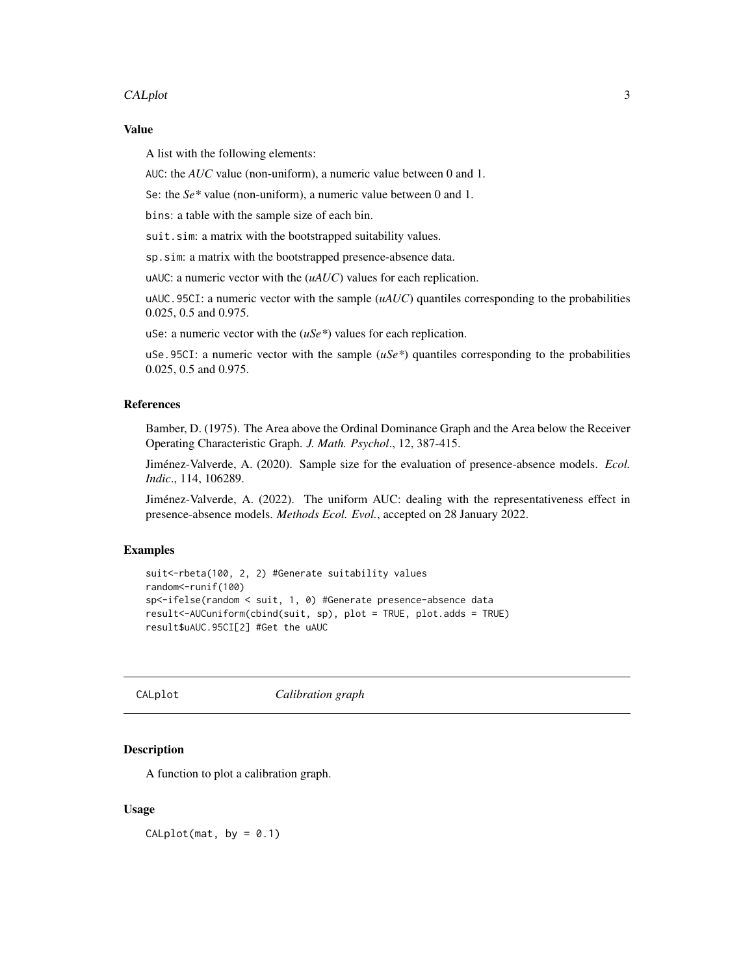#### <span id="page-2-0"></span>CALplot 3

#### Value

A list with the following elements:

AUC: the *AUC* value (non-uniform), a numeric value between 0 and 1.

Se: the *Se\** value (non-uniform), a numeric value between 0 and 1.

bins: a table with the sample size of each bin.

suit.sim: a matrix with the bootstrapped suitability values.

sp.sim: a matrix with the bootstrapped presence-absence data.

uAUC: a numeric vector with the (*uAUC*) values for each replication.

uAUC.95CI: a numeric vector with the sample (*uAUC*) quantiles corresponding to the probabilities 0.025, 0.5 and 0.975.

uSe: a numeric vector with the (*uSe\**) values for each replication.

uSe.95CI: a numeric vector with the sample  $(uSe^*)$  quantiles corresponding to the probabilities 0.025, 0.5 and 0.975.

#### References

Bamber, D. (1975). The Area above the Ordinal Dominance Graph and the Area below the Receiver Operating Characteristic Graph. *J. Math. Psychol*., 12, 387-415.

Jiménez-Valverde, A. (2020). Sample size for the evaluation of presence-absence models. *Ecol. Indic*., 114, 106289.

Jiménez-Valverde, A. (2022). The uniform AUC: dealing with the representativeness effect in presence-absence models. *Methods Ecol. Evol.*, accepted on 28 January 2022.

#### Examples

```
suit<-rbeta(100, 2, 2) #Generate suitability values
random<-runif(100)
sp<-ifelse(random < suit, 1, 0) #Generate presence-absence data
result<-AUCuniform(cbind(suit, sp), plot = TRUE, plot.adds = TRUE)
result$uAUC.95CI[2] #Get the uAUC
```
CALplot *Calibration graph*

## Description

A function to plot a calibration graph.

#### Usage

 $CALplot(mat, by = 0.1)$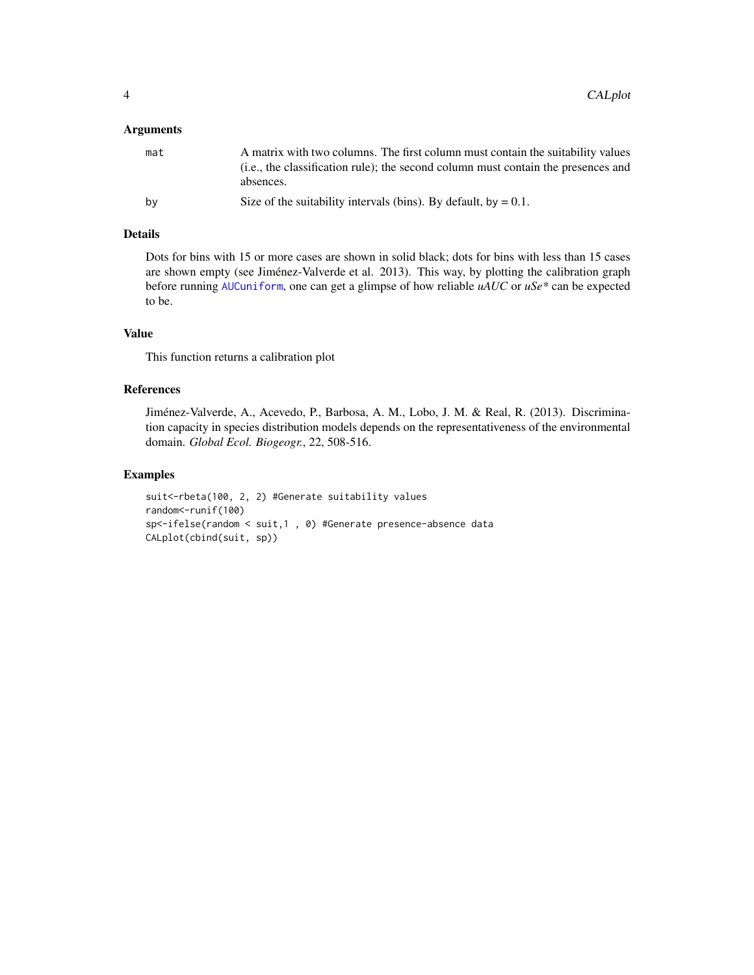#### <span id="page-3-0"></span>Arguments

| mat | A matrix with two columns. The first column must contain the suitability values<br>(i.e., the classification rule); the second column must contain the presences and<br>absences. |
|-----|-----------------------------------------------------------------------------------------------------------------------------------------------------------------------------------|
| by  | Size of the suitability intervals (bins). By default, by $= 0.1$ .                                                                                                                |

#### Details

Dots for bins with 15 or more cases are shown in solid black; dots for bins with less than 15 cases are shown empty (see Jiménez-Valverde et al. 2013). This way, by plotting the calibration graph before running [AUCuniform](#page-1-1), one can get a glimpse of how reliable *uAUC* or *uSe\** can be expected to be.

#### Value

This function returns a calibration plot

#### References

Jiménez-Valverde, A., Acevedo, P., Barbosa, A. M., Lobo, J. M. & Real, R. (2013). Discrimination capacity in species distribution models depends on the representativeness of the environmental domain. *Global Ecol. Biogeogr.*, 22, 508-516.

#### Examples

```
suit<-rbeta(100, 2, 2) #Generate suitability values
random<-runif(100)
sp<-ifelse(random < suit,1 , 0) #Generate presence-absence data
CALplot(cbind(suit, sp))
```